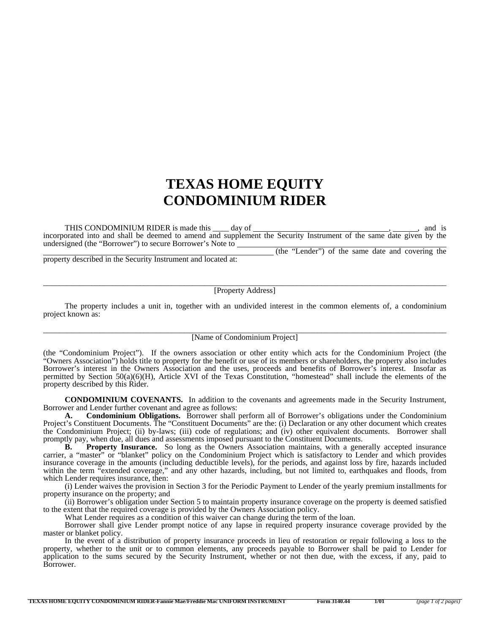## **TEXAS HOME EQUITY CONDOMINIUM RIDER**

THIS CONDOMINIUM RIDER is made this \_\_\_\_ day of \_\_\_\_\_\_\_\_\_\_\_\_\_\_\_\_\_\_\_\_\_\_\_\_\_\_\_\_\_\_\_\_, \_\_\_\_\_, and is incorporated into and shall be deemed to amend and supplement the Security Instrument of the same date given by the undersigned (the "Borrower") to secure Borrower's Note to (the "Lender") of the same date and covering the

property described in the Security Instrument and located at:

\_\_\_\_\_\_\_\_\_\_\_\_\_\_\_\_\_\_\_\_\_\_\_\_\_\_\_\_\_\_\_\_\_\_\_\_\_\_\_\_\_\_\_\_\_\_\_\_\_\_\_\_\_\_\_\_\_\_\_\_\_\_\_\_\_\_\_\_\_\_\_\_\_\_\_\_\_\_\_\_\_\_\_\_\_\_\_\_\_\_\_\_\_\_\_\_\_\_\_\_ [Property Address]

The property includes a unit in, together with an undivided interest in the common elements of, a condominium project known as:

## [Name of Condominium Project]

(the "Condominium Project"). If the owners association or other entity which acts for the Condominium Project (the "Owners Association") holds title to property for the benefit or use of its members or shareholders, the property also includes Borrower's interest in the Owners Association and the uses, proceeds and benefits of Borrower's interest. Insofar as permitted by Section 50(a)(6)(H), Article XVI of the Texas Constitution, "homestead" shall include the elements of the property described by this Rider.

**CONDOMINIUM COVENANTS.** In addition to the covenants and agreements made in the Security Instrument, Borrower and Lender further covenant and agree as follows:

 **A. Condominium Obligations.** Borrower shall perform all of Borrower's obligations under the Condominium Project's Constituent Documents. The "Constituent Documents" are the: (i) Declaration or any other document which creates the Condominium Project; (ii) by-laws; (iii) code of regulations; and (iv) other equivalent documents. Borrower shall promptly pay, when due, all dues and assessments imposed pursuant to the Constituent Documents.

**B.** Property Insurance. So long as the Owners Association maintains, with a generally accepted insurance carrier, a "master" or "blanket" policy on the Condominium Project which is satisfactory to Lender and which provides insurance coverage in the amounts (including deductible levels), for the periods, and against loss by fire, hazards included within the term "extended coverage," and any other hazards, including, but not limited to, earthquakes and floods, from which Lender requires insurance, then:

(i) Lender waives the provision in Section 3 for the Periodic Payment to Lender of the yearly premium installments for property insurance on the property; and

(ii) Borrower's obligation under Section 5 to maintain property insurance coverage on the property is deemed satisfied to the extent that the required coverage is provided by the Owners Association policy.

What Lender requires as a condition of this waiver can change during the term of the loan.

Borrower shall give Lender prompt notice of any lapse in required property insurance coverage provided by the master or blanket policy.

In the event of a distribution of property insurance proceeds in lieu of restoration or repair following a loss to the property, whether to the unit or to common elements, any proceeds payable to Borrower shall be paid to Lender for application to the sums secured by the Security Instrument, whether or not then due, with the excess, if any, paid to Borrower.